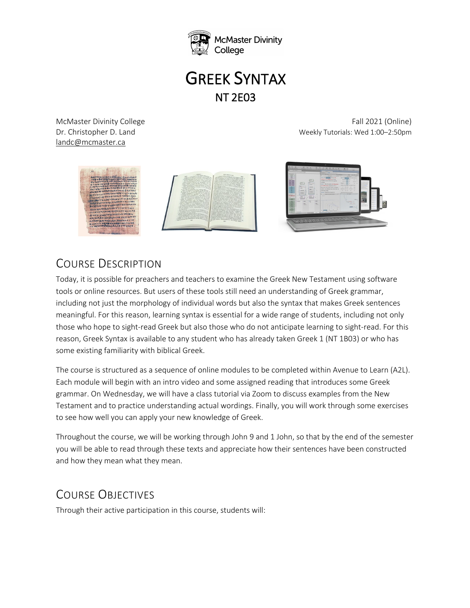

# GREEK SYNTAX NT 2E03

landc@mcmaster.ca

McMaster Divinity College Fall 2021 (Online) Dr. Christopher D. Land Weekly Tutorials: Wed 1:00–2:50pm



# COURSE DESCRIPTION

Today, it is possible for preachers and teachers to examine the Greek New Testament using software tools or online resources. But users of these tools still need an understanding of Greek grammar, including not just the morphology of individual words but also the syntax that makes Greek sentences meaningful. For this reason, learning syntax is essential for a wide range of students, including not only those who hope to sight-read Greek but also those who do not anticipate learning to sight-read. For this reason, Greek Syntax is available to any student who has already taken Greek 1 (NT 1B03) or who has some existing familiarity with biblical Greek.

The course is structured as a sequence of online modules to be completed within Avenue to Learn (A2L). Each module will begin with an intro video and some assigned reading that introduces some Greek grammar. On Wednesday, we will have a class tutorial via Zoom to discuss examples from the New Testament and to practice understanding actual wordings. Finally, you will work through some exercises to see how well you can apply your new knowledge of Greek.

Throughout the course, we will be working through John 9 and 1 John, so that by the end of the semester you will be able to read through these texts and appreciate how their sentences have been constructed and how they mean what they mean.

# COURSE OBJECTIVES

Through their active participation in this course, students will: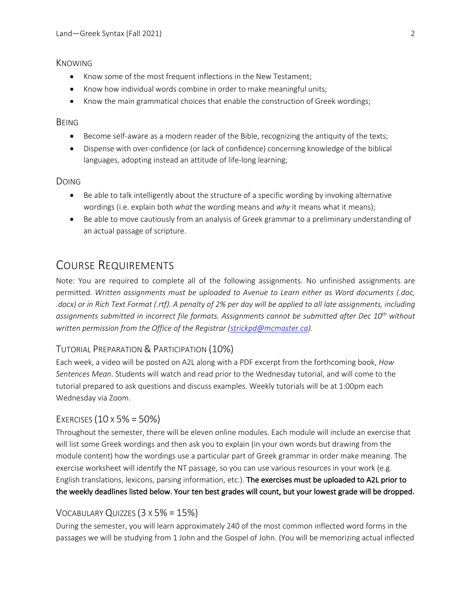#### **KNOWING**

- Know some of the most frequent inflections in the New Testament;
- Know how individual words combine in order to make meaningful units;
- Know the main grammatical choices that enable the construction of Greek wordings;

#### **BEING**

- Become self-aware as a modern reader of the Bible, recognizing the antiquity of the texts;
- Dispense with over-confidence (or lack of confidence) concerning knowledge of the biblical languages, adopting instead an attitude of life-long learning;

#### DOING

- Be able to talk intelligently about the structure of a specific wording by invoking alternative wordings (i.e. explain both *what* the wording means and *why* it means what it means);
- Be able to move cautiously from an analysis of Greek grammar to a preliminary understanding of an actual passage of scripture.

## COURSE REQUIREMENTS

Note: You are required to complete all of the following assignments. No unfinished assignments are permitted. *Written assignments must be uploaded to Avenue to Learn either as Word documents (.doc, .docx) or in Rich Text Format (.rtf). A penalty of 2% per day will be applied to all late assignments, including assignments submitted in incorrect file formats. Assignments cannot be submitted after Dec 10th without written permission from the Office of the Registrar (strickpd@mcmaster.ca).*

#### TUTORIAL PREPARATION & PARTICIPATION (10%)

Each week, a video will be posted on A2L along with a PDF excerpt from the forthcoming book, *How Sentences Mean*. Students will watch and read prior to the Wednesday tutorial, and will come to the tutorial prepared to ask questions and discuss examples. Weekly tutorials will be at 1:00pm each Wednesday via Zoom.

#### EXERCISES  $(10 \times 5\% = 50\%)$

Throughout the semester, there will be eleven online modules. Each module will include an exercise that will list some Greek wordings and then ask you to explain (in your own words but drawing from the module content) how the wordings use a particular part of Greek grammar in order make meaning. The exercise worksheet will identify the NT passage, so you can use various resources in your work (e.g. English translations, lexicons, parsing information, etc.). The exercises must be uploaded to A2L prior to the weekly deadlines listed below. Your ten best grades will count, but your lowest grade will be dropped.

#### VOCABULARY QUIZZES (3 X 5% = 15%)

During the semester, you will learn approximately 240 of the most common inflected word forms in the passages we will be studying from 1 John and the Gospel of John. (You will be memorizing actual inflected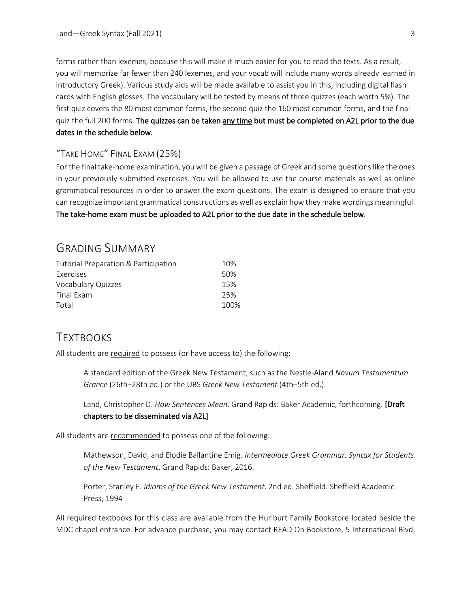forms rather than lexemes, because this will make it much easier for you to read the texts. As a result, you will memorize far fewer than 240 lexemes, and your vocab will include many words already learned in introductory Greek). Various study aids will be made available to assist you in this, including digital flash cards with English glosses. The vocabulary will be tested by means of three quizzes (each worth 5%). The first quiz covers the 80 most common forms, the second quiz the 160 most common forms, and the final quiz the full 200 forms. The quizzes can be taken any time but must be completed on A2L prior to the due dates in the schedule below.

### "TAKE HOME" FINAL EXAM (25%)

For the final take-home examination, you will be given a passage of Greek and some questions like the ones in your previously submitted exercises. You will be allowed to use the course materials as well as online grammatical resources in order to answer the exam questions. The exam is designed to ensure that you can recognize important grammatical constructions as well as explain how they make wordings meaningful. The take-home exam must be uploaded to A2L prior to the due date in the schedule below.

## GRADING SUMMARY

| Tutorial Preparation & Participation | 10%  |
|--------------------------------------|------|
| Exercises                            | 50%  |
| Vocabulary Quizzes                   | 15%  |
| Final Exam                           | 25%  |
| Total                                | 100% |

## **TEXTBOOKS**

All students are required to possess (or have access to) the following:

A standard edition of the Greek New Testament, such as the Nestle-Aland *Novum Testamentum Graece* (26th–28th ed.) or the UBS *Greek New Testament* (4th–5th ed.).

Land, Christopher D. *How Sentences Mean*. Grand Rapids: Baker Academic, forthcoming. [Draft chapters to be disseminated via A2L]

All students are recommended to possess one of the following:

Mathewson, David, and Elodie Ballantine Emig. *Intermediate Greek Grammar: Syntax for Students of the New Testament*. Grand Rapids: Baker, 2016.

Porter, Stanley E. *Idioms of the Greek New Testament*. 2nd ed. Sheffield: Sheffield Academic Press, 1994

All required textbooks for this class are available from the Hurlburt Family Bookstore located beside the MDC chapel entrance. For advance purchase, you may contact READ On Bookstore, 5 International Blvd,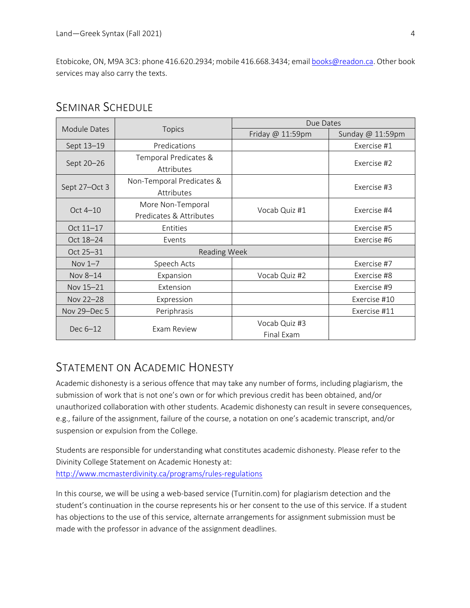Etobicoke, ON, M9A 3C3: phone 416.620.2934; mobile 416.668.3434; email books@readon.ca. Other book services may also carry the texts.

| Module Dates  | <b>Topics</b>             | Due Dates        |                  |
|---------------|---------------------------|------------------|------------------|
|               |                           | Friday @ 11:59pm | Sunday @ 11:59pm |
| Sept 13-19    | Predications              |                  | Exercise #1      |
| Sept 20-26    | Temporal Predicates &     |                  | Exercise #2      |
|               | Attributes                |                  |                  |
| Sept 27-Oct 3 | Non-Temporal Predicates & |                  | Exercise #3      |
|               | Attributes                |                  |                  |
| Oct $4-10$    | More Non-Temporal         | Vocab Quiz #1    | Exercise #4      |
|               | Predicates & Attributes   |                  |                  |
| Oct 11-17     | Entities                  |                  | Exercise #5      |
| Oct 18-24     | Events                    |                  | Exercise #6      |
| Oct 25-31     | <b>Reading Week</b>       |                  |                  |
| Nov $1-7$     | Speech Acts               |                  | Exercise #7      |
| Nov 8-14      | Expansion                 | Vocab Quiz #2    | Exercise #8      |
| Nov 15-21     | Extension                 |                  | Exercise #9      |
| Nov 22-28     | Expression                |                  | Exercise #10     |
| Nov 29-Dec 5  | Periphrasis               |                  | Exercise #11     |
| Dec 6-12      | Exam Review               | Vocab Quiz #3    |                  |
|               |                           | Final Exam       |                  |

## SEMINAR SCHEDULE

## STATEMENT ON ACADEMIC HONESTY

Academic dishonesty is a serious offence that may take any number of forms, including plagiarism, the submission of work that is not one's own or for which previous credit has been obtained, and/or unauthorized collaboration with other students. Academic dishonesty can result in severe consequences, e.g., failure of the assignment, failure of the course, a notation on one's academic transcript, and/or suspension or expulsion from the College.

Students are responsible for understanding what constitutes academic dishonesty. Please refer to the Divinity College Statement on Academic Honesty at: http://www.mcmasterdivinity.ca/programs/rules-regulations

In this course, we will be using a web-based service (Turnitin.com) for plagiarism detection and the student's continuation in the course represents his or her consent to the use of this service. If a student has objections to the use of this service, alternate arrangements for assignment submission must be made with the professor in advance of the assignment deadlines.